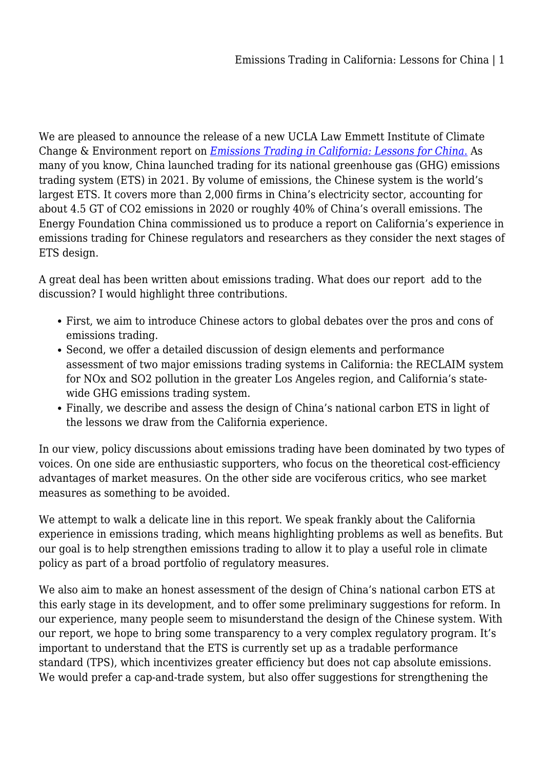We are pleased to announce the release of a new UCLA Law Emmett Institute of Climate Change & Environment report on *[Emissions Trading in California: Lessons for China](https://law.ucla.edu/news/emissions-trading-california-lessons-china)*[.](https://law.ucla.edu/news/emissions-trading-california-lessons-china) As many of you know, China launched trading for its national greenhouse gas (GHG) emissions trading system (ETS) in 2021. By volume of emissions, the Chinese system is the world's largest ETS. It covers more than 2,000 firms in China's electricity sector, accounting for about 4.5 GT of CO2 emissions in 2020 or roughly 40% of China's overall emissions. The Energy Foundation China commissioned us to produce a report on California's experience in emissions trading for Chinese regulators and researchers as they consider the next stages of ETS design.

A great deal has been written about emissions trading. What does our report add to the discussion? I would highlight three contributions.

- First, we aim to introduce Chinese actors to global debates over the pros and cons of emissions trading.
- Second, we offer a detailed discussion of design elements and performance assessment of two major emissions trading systems in California: the RECLAIM system for NOx and SO2 pollution in the greater Los Angeles region, and California's statewide GHG emissions trading system.
- Finally, we describe and assess the design of China's national carbon ETS in light of the lessons we draw from the California experience.

In our view, policy discussions about emissions trading have been dominated by two types of voices. On one side are enthusiastic supporters, who focus on the theoretical cost-efficiency advantages of market measures. On the other side are vociferous critics, who see market measures as something to be avoided.

We attempt to walk a delicate line in this report. We speak frankly about the California experience in emissions trading, which means highlighting problems as well as benefits. But our goal is to help strengthen emissions trading to allow it to play a useful role in climate policy as part of a broad portfolio of regulatory measures.

We also aim to make an honest assessment of the design of China's national carbon ETS at this early stage in its development, and to offer some preliminary suggestions for reform. In our experience, many people seem to misunderstand the design of the Chinese system. With our report, we hope to bring some transparency to a very complex regulatory program. It's important to understand that the ETS is currently set up as a tradable performance standard (TPS), which incentivizes greater efficiency but does not cap absolute emissions. We would prefer a cap-and-trade system, but also offer suggestions for strengthening the